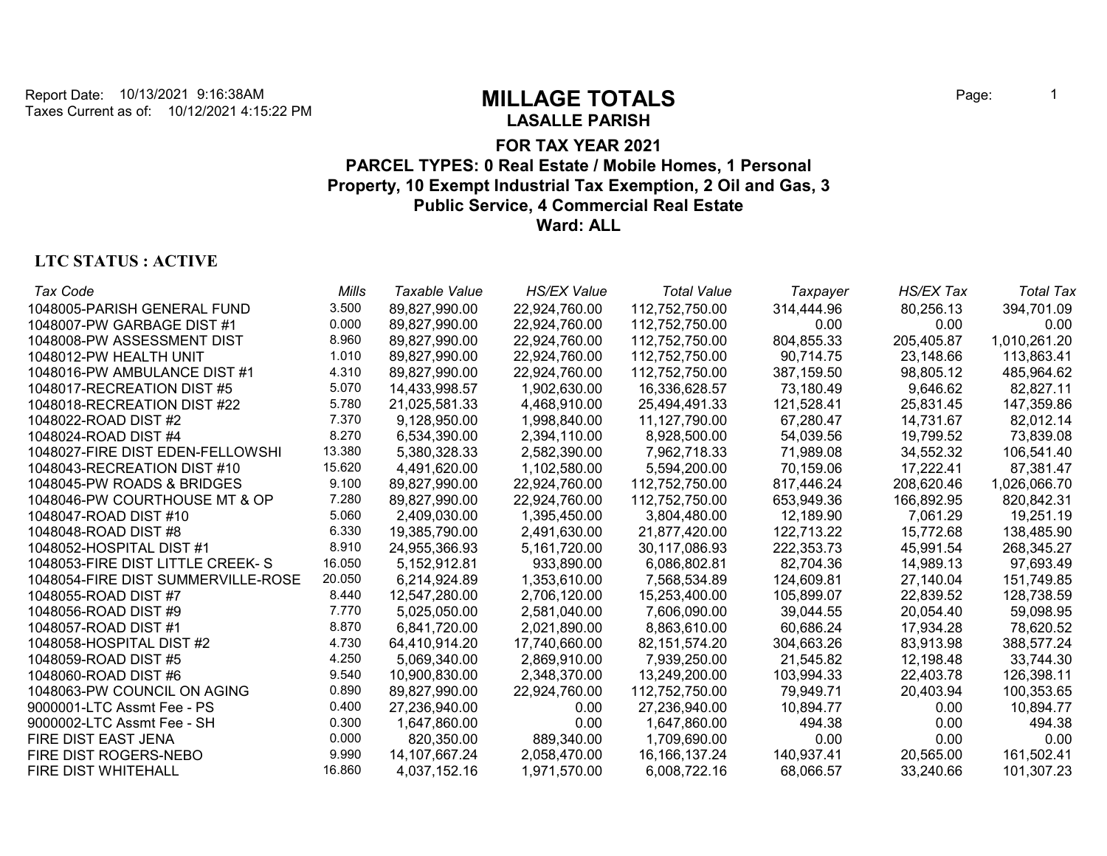**LASALLE PARISH**

## **FOR TAX YEAR 2021 PARCEL TYPES: 0 Real Estate / Mobile Homes, 1 Personal Property, 10 Exempt Industrial Tax Exemption, 2 Oil and Gas, 3 Public Service, 4 Commercial Real Estate Ward: ALL**

# **LTC STATUS : ACTIVE**

| Tax Code                           | Mills  | Taxable Value | <b>HS/EX Value</b> | <b>Total Value</b> | Taxpayer   | <b>HS/EX Tax</b> | <b>Total Tax</b> |
|------------------------------------|--------|---------------|--------------------|--------------------|------------|------------------|------------------|
| 1048005-PARISH GENERAL FUND        | 3.500  | 89,827,990.00 | 22,924,760.00      | 112,752,750.00     | 314,444.96 | 80,256.13        | 394,701.09       |
| 1048007-PW GARBAGE DIST #1         | 0.000  | 89,827,990.00 | 22,924,760.00      | 112,752,750.00     | 0.00       | 0.00             | 0.00             |
| 1048008-PW ASSESSMENT DIST         | 8.960  | 89,827,990.00 | 22,924,760.00      | 112,752,750.00     | 804,855.33 | 205,405.87       | 1,010,261.20     |
| 1048012-PW HEALTH UNIT             | 1.010  | 89.827.990.00 | 22.924.760.00      | 112.752.750.00     | 90.714.75  | 23.148.66        | 113,863.41       |
| 1048016-PW AMBULANCE DIST #1       | 4.310  | 89,827,990.00 | 22,924,760.00      | 112,752,750.00     | 387,159.50 | 98,805.12        | 485,964.62       |
| 1048017-RECREATION DIST #5         | 5.070  | 14,433,998.57 | 1,902,630.00       | 16,336,628.57      | 73,180.49  | 9,646.62         | 82,827.11        |
| 1048018-RECREATION DIST #22        | 5.780  | 21,025,581.33 | 4,468,910.00       | 25,494,491.33      | 121,528.41 | 25,831.45        | 147,359.86       |
| 1048022-ROAD DIST #2               | 7.370  | 9,128,950.00  | 1,998,840.00       | 11,127,790.00      | 67,280.47  | 14,731.67        | 82,012.14        |
| 1048024-ROAD DIST #4               | 8.270  | 6,534,390.00  | 2,394,110.00       | 8,928,500.00       | 54,039.56  | 19,799.52        | 73,839.08        |
| 1048027-FIRE DIST EDEN-FELLOWSHI   | 13.380 | 5,380,328.33  | 2,582,390.00       | 7,962,718.33       | 71,989.08  | 34,552.32        | 106,541.40       |
| 1048043-RECREATION DIST #10        | 15.620 | 4,491,620.00  | 1,102,580.00       | 5,594,200.00       | 70,159.06  | 17,222.41        | 87,381.47        |
| 1048045-PW ROADS & BRIDGES         | 9.100  | 89,827,990.00 | 22,924,760.00      | 112,752,750.00     | 817,446.24 | 208,620.46       | 1,026,066.70     |
| 1048046-PW COURTHOUSE MT & OP      | 7.280  | 89,827,990.00 | 22,924,760.00      | 112,752,750.00     | 653,949.36 | 166,892.95       | 820,842.31       |
| 1048047-ROAD DIST #10              | 5.060  | 2,409,030.00  | 1,395,450.00       | 3,804,480.00       | 12,189.90  | 7,061.29         | 19,251.19        |
| 1048048-ROAD DIST #8               | 6.330  | 19,385,790.00 | 2,491,630.00       | 21,877,420.00      | 122,713.22 | 15,772.68        | 138,485.90       |
| 1048052-HOSPITAL DIST #1           | 8.910  | 24,955,366.93 | 5,161,720.00       | 30,117,086.93      | 222,353.73 | 45,991.54        | 268,345.27       |
| 1048053-FIRE DIST LITTLE CREEK-S   | 16.050 | 5,152,912.81  | 933,890.00         | 6,086,802.81       | 82,704.36  | 14,989.13        | 97,693.49        |
| 1048054-FIRE DIST SUMMERVILLE-ROSE | 20.050 | 6.214,924.89  | 1,353,610.00       | 7,568,534.89       | 124,609.81 | 27,140.04        | 151,749.85       |
| 1048055-ROAD DIST #7               | 8.440  | 12,547,280.00 | 2,706,120.00       | 15,253,400.00      | 105,899.07 | 22,839.52        | 128,738.59       |
| 1048056-ROAD DIST #9               | 7.770  | 5,025,050.00  | 2,581,040.00       | 7,606,090.00       | 39,044.55  | 20,054.40        | 59,098.95        |
| 1048057-ROAD DIST #1               | 8.870  | 6.841,720.00  | 2,021,890.00       | 8,863,610.00       | 60,686.24  | 17,934.28        | 78,620.52        |
| 1048058-HOSPITAL DIST #2           | 4.730  | 64,410,914.20 | 17,740,660.00      | 82, 151, 574. 20   | 304,663.26 | 83,913.98        | 388,577.24       |
| 1048059-ROAD DIST #5               | 4.250  | 5,069,340.00  | 2,869,910.00       | 7,939,250.00       | 21,545.82  | 12,198.48        | 33,744.30        |
| 1048060-ROAD DIST #6               | 9.540  | 10,900,830.00 | 2,348,370.00       | 13,249,200.00      | 103,994.33 | 22,403.78        | 126,398.11       |
| 1048063-PW COUNCIL ON AGING        | 0.890  | 89,827,990.00 | 22,924,760.00      | 112,752,750.00     | 79,949.71  | 20,403.94        | 100,353.65       |
| 9000001-LTC Assmt Fee - PS         | 0.400  | 27,236,940.00 | 0.00               | 27,236,940.00      | 10,894.77  | 0.00             | 10,894.77        |
| 9000002-LTC Assmt Fee - SH         | 0.300  | 1,647,860.00  | 0.00               | 1,647,860.00       | 494.38     | 0.00             | 494.38           |
| FIRE DIST EAST JENA                | 0.000  | 820,350.00    | 889,340.00         | 1,709,690.00       | 0.00       | 0.00             | 0.00             |
| FIRE DIST ROGERS-NEBO              | 9.990  | 14,107,667.24 | 2,058,470.00       | 16, 166, 137. 24   | 140,937.41 | 20,565.00        | 161,502.41       |
| <b>FIRE DIST WHITEHALL</b>         | 16.860 | 4,037,152.16  | 1,971,570.00       | 6,008,722.16       | 68,066.57  | 33,240.66        | 101,307.23       |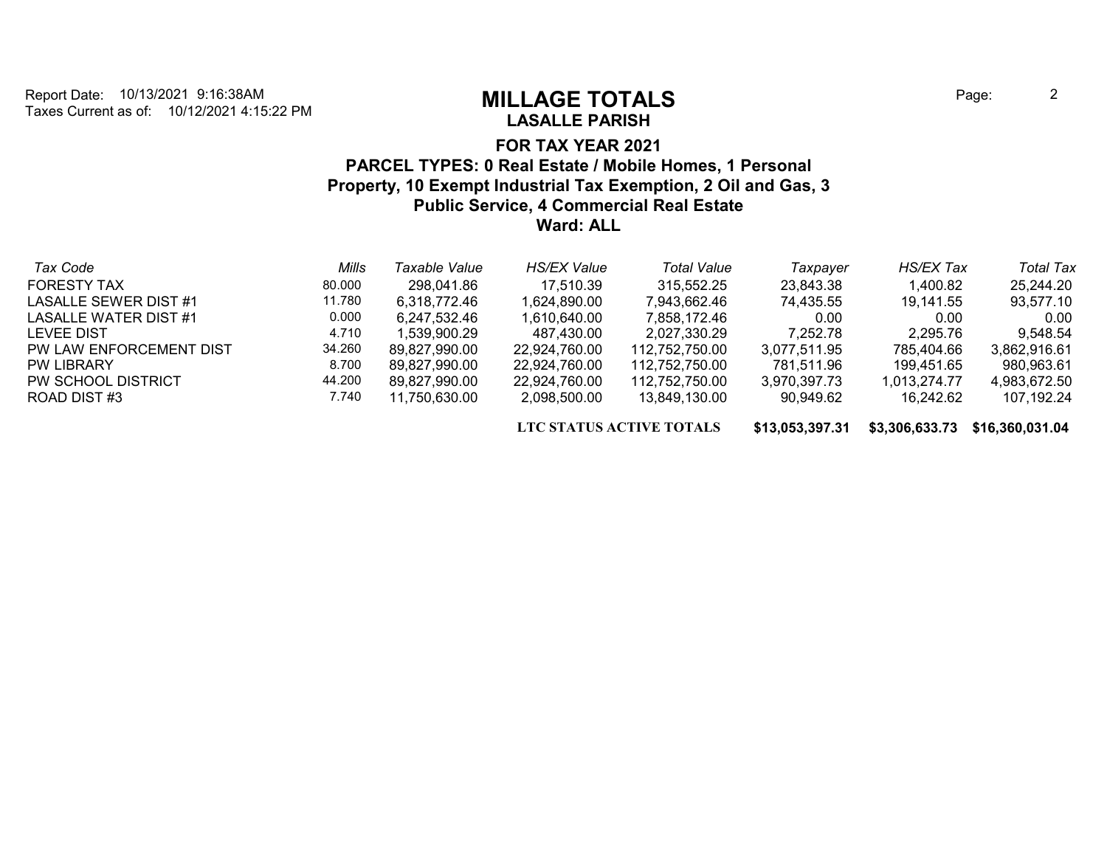# **LASALLE PARISH**

## **FOR TAX YEAR 2021 PARCEL TYPES: 0 Real Estate / Mobile Homes, 1 Personal Property, 10 Exempt Industrial Tax Exemption, 2 Oil and Gas, 3 Public Service, 4 Commercial Real Estate Ward: ALL**

| Tax Code                | Mills  | Taxable Value | <b>HS/EX Value</b> | <b>Total Value</b> | Taxpaver     | <b>HS/EX Tax</b> | <b>Total Tax</b> |
|-------------------------|--------|---------------|--------------------|--------------------|--------------|------------------|------------------|
| <b>FORESTY TAX</b>      | 80.000 | 298,041.86    | 17.510.39          | 315.552.25         | 23,843.38    | 1,400.82         | 25,244.20        |
| LASALLE SEWER DIST #1   | 11.780 | 6.318.772.46  | 1,624,890.00       | 7,943,662.46       | 74.435.55    | 19,141.55        | 93,577.10        |
| LASALLE WATER DIST #1   | 0.000  | 6,247,532.46  | 1,610,640.00       | 7.858.172.46       | 0.00         | 0.00             | 0.00             |
| <b>LEVEE DIST</b>       | 4.710  | 1.539.900.29  | 487,430.00         | 2,027,330.29       | 7.252.78     | 2,295.76         | 9,548.54         |
| PW LAW ENFORCEMENT DIST | 34.260 | 89.827.990.00 | 22,924,760.00      | 112.752.750.00     | 3.077.511.95 | 785,404.66       | 3.862.916.61     |
| <b>PW LIBRARY</b>       | 8.700  | 89,827,990.00 | 22,924,760.00      | 112,752,750.00     | 781,511.96   | 199,451.65       | 980,963.61       |
| PW SCHOOL DISTRICT      | 44.200 | 89.827.990.00 | 22,924,760.00      | 112,752,750.00     | 3,970,397.73 | 1.013.274.77     | 4,983,672.50     |
| ROAD DIST#3             | 7.740  | 11.750.630.00 | 2.098.500.00       | 13.849.130.00      | 90.949.62    | 16.242.62        | 107.192.24       |

**LTC STATUS ACTIVE TOTALS \$13,053,397.31 \$3,306,633.73 \$16,360,031.04**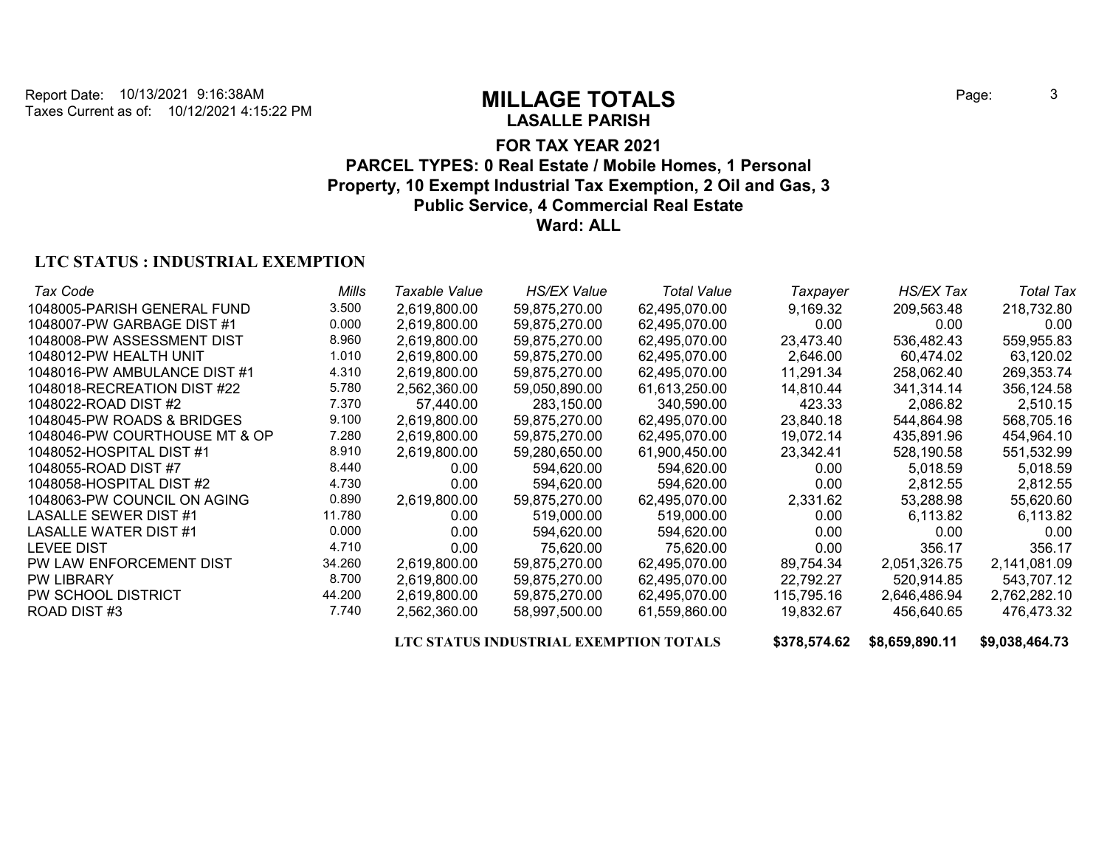# **LASALLE PARISH**

## **FOR TAX YEAR 2021 PARCEL TYPES: 0 Real Estate / Mobile Homes, 1 Personal Property, 10 Exempt Industrial Tax Exemption, 2 Oil and Gas, 3 Public Service, 4 Commercial Real Estate Ward: ALL**

### **LTC STATUS : INDUSTRIAL EXEMPTION**

| Tax Code                      | Mills  | Taxable Value     | <b>HS/EX Value</b> | Total Value   | Taxpayer          | HS/EX Tax    | <b>Total Tax</b> |
|-------------------------------|--------|-------------------|--------------------|---------------|-------------------|--------------|------------------|
| 1048005-PARISH GENERAL FUND   | 3.500  | 2,619,800.00      | 59,875,270.00      | 62,495,070.00 | 9,169.32          | 209,563.48   | 218,732.80       |
| 1048007-PW GARBAGE DIST #1    | 0.000  | 2,619,800.00      | 59,875,270.00      | 62.495.070.00 | 0.00              | 0.00         | 0.00             |
| 1048008-PW ASSESSMENT DIST    | 8.960  | 2,619,800.00      | 59,875,270.00      | 62,495,070.00 | 23,473.40         | 536,482.43   | 559,955.83       |
| 1048012-PW HEALTH UNIT        | 1.010  | 2,619,800.00      | 59,875,270.00      | 62.495.070.00 | 2,646.00          | 60,474.02    | 63,120.02        |
| 1048016-PW AMBULANCE DIST #1  | 4.310  | 2,619,800.00      | 59,875,270.00      | 62,495,070.00 | 11,291.34         | 258,062.40   | 269,353.74       |
| 1048018-RECREATION DIST #22   | 5.780  | 2,562,360.00      | 59,050,890.00      | 61,613,250.00 | 14,810.44         | 341,314.14   | 356,124.58       |
| 1048022-ROAD DIST #2          | 7.370  | 57,440.00         | 283,150.00         | 340.590.00    | 423.33            | 2,086.82     | 2,510.15         |
| 1048045-PW ROADS & BRIDGES    | 9.100  | 2,619,800.00      | 59,875,270.00      | 62,495,070.00 | 23,840.18         | 544,864.98   | 568,705.16       |
| 1048046-PW COURTHOUSE MT & OP | 7.280  | 2,619,800.00      | 59,875,270.00      | 62,495,070.00 | 19,072.14         | 435,891.96   | 454,964.10       |
| 1048052-HOSPITAL DIST #1      | 8.910  | 2,619,800.00      | 59,280,650.00      | 61,900,450.00 | 23,342.41         | 528,190.58   | 551,532.99       |
| 1048055-ROAD DIST #7          | 8.440  | 0.00 <sub>1</sub> | 594.620.00         | 594,620.00    | 0.00              | 5.018.59     | 5.018.59         |
| 1048058-HOSPITAL DIST #2      | 4.730  | 0.00 <sub>1</sub> | 594,620.00         | 594,620.00    | 0.00 <sub>1</sub> | 2,812.55     | 2,812.55         |
| 1048063-PW COUNCIL ON AGING   | 0.890  | 2,619,800.00      | 59,875,270.00      | 62,495,070.00 | 2,331.62          | 53,288.98    | 55,620.60        |
| <b>LASALLE SEWER DIST #1</b>  | 11.780 | 0.00              | 519,000.00         | 519,000.00    | 0.00              | 6.113.82     | 6,113.82         |
| <b>LASALLE WATER DIST #1</b>  | 0.000  | 0.00 <sub>1</sub> | 594.620.00         | 594,620.00    | 0.00              | 0.00         | 0.00             |
| <b>LEVEE DIST</b>             | 4.710  | 0.00 <sub>1</sub> | 75.620.00          | 75.620.00     | 0.00              | 356.17       | 356.17           |
| PW LAW ENFORCEMENT DIST       | 34.260 | 2,619,800.00      | 59,875,270.00      | 62,495,070.00 | 89,754.34         | 2,051,326.75 | 2,141,081.09     |
| <b>PW LIBRARY</b>             | 8.700  | 2,619,800.00      | 59,875,270.00      | 62.495.070.00 | 22,792.27         | 520,914.85   | 543,707.12       |
| PW SCHOOL DISTRICT            | 44.200 | 2,619,800.00      | 59,875,270.00      | 62,495,070.00 | 115,795.16        | 2,646,486.94 | 2,762,282.10     |
| ROAD DIST#3                   | 7.740  | 2,562,360.00      | 58,997,500.00      | 61,559,860.00 | 19,832.67         | 456,640.65   | 476,473.32       |

**LTC STATUS INDUSTRIAL EXEMPTION TOTALS \$378,574.62 \$8,659,890.11 \$9,038,464.73**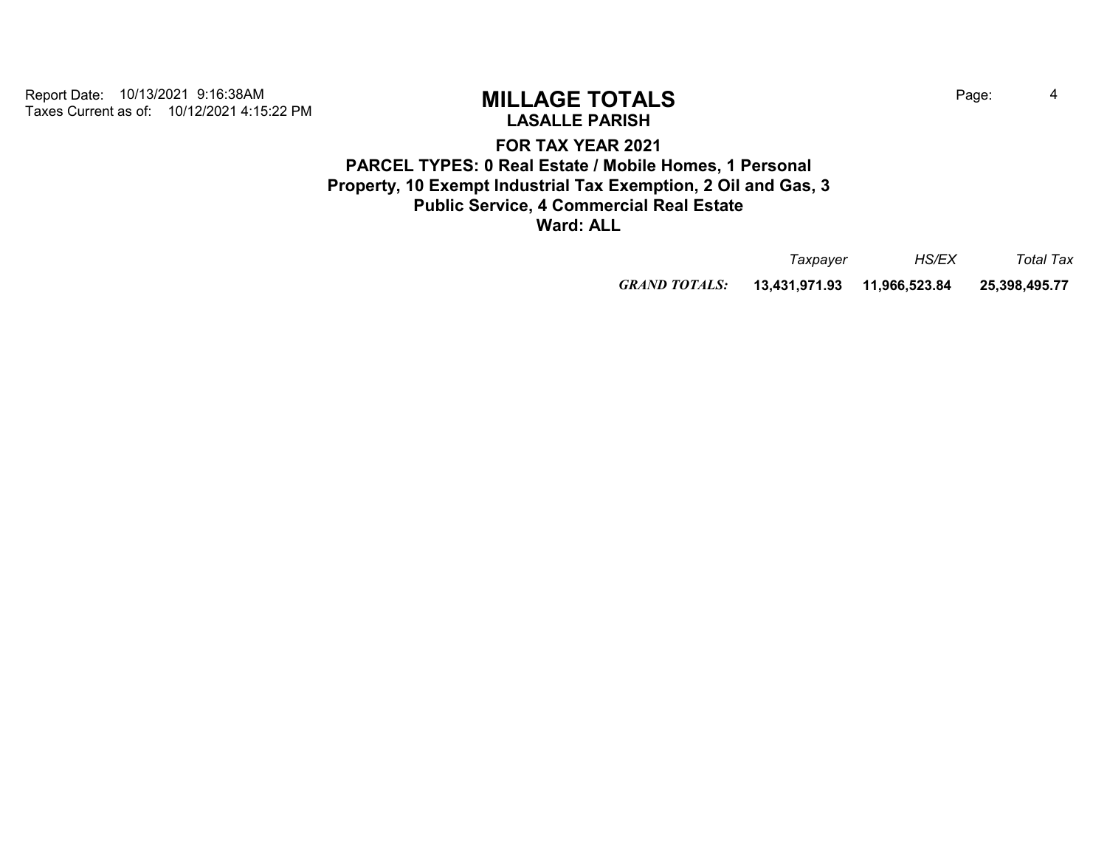# **LASALLE PARISH**

**FOR TAX YEAR 2021 PARCEL TYPES: 0 Real Estate / Mobile Homes, 1 Personal Property, 10 Exempt Industrial Tax Exemption, 2 Oil and Gas, 3 Public Service, 4 Commercial Real Estate Ward: ALL**

|                      | Taxpayer      | <i>HS/EX</i>  | Total Tax     |
|----------------------|---------------|---------------|---------------|
| <b>GRAND TOTALS:</b> | 13.431.971.93 | 11,966,523.84 | 25,398,495.77 |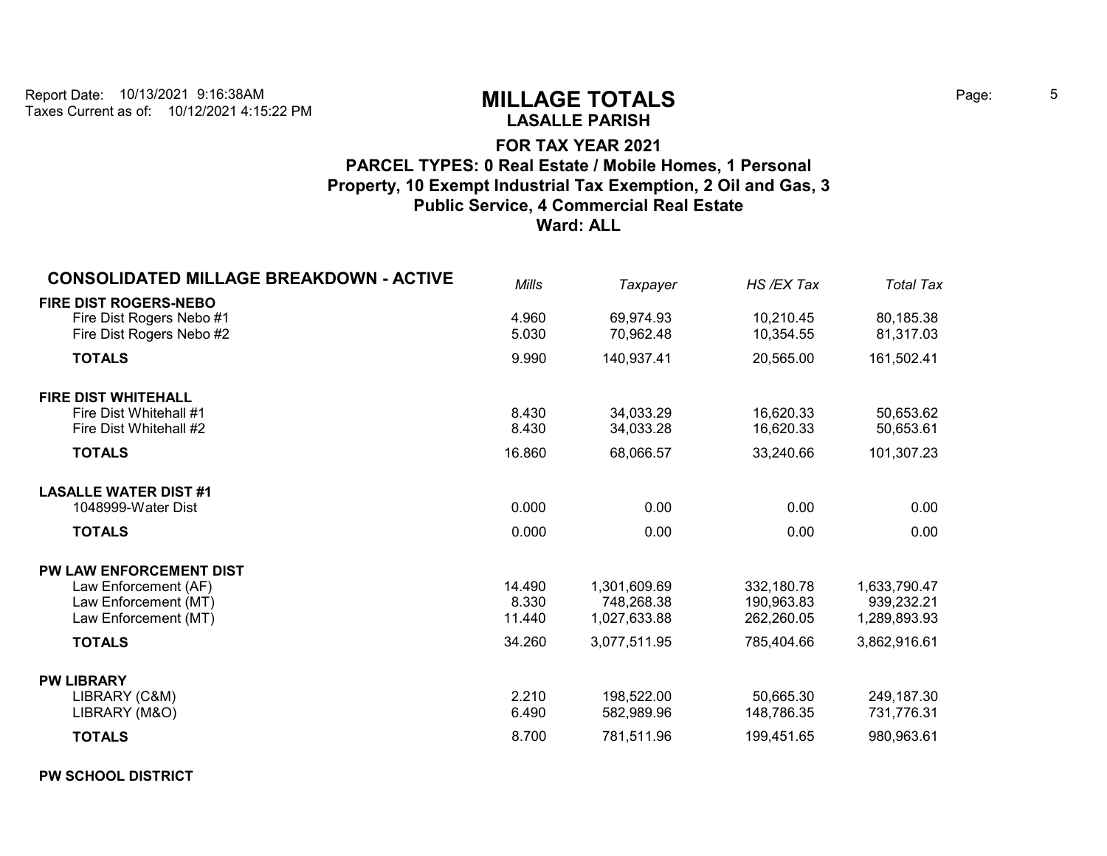# **LASALLE PARISH**

## **FOR TAX YEAR 2021 PARCEL TYPES: 0 Real Estate / Mobile Homes, 1 Personal Property, 10 Exempt Industrial Tax Exemption, 2 Oil and Gas, 3 Public Service, 4 Commercial Real Estate Ward: ALL**

| <b>CONSOLIDATED MILLAGE BREAKDOWN - ACTIVE</b>                                                                   | <b>Mills</b>                        | Taxpayer                                                   | HS/EX Tax                                            | <b>Total Tax</b>                                           |
|------------------------------------------------------------------------------------------------------------------|-------------------------------------|------------------------------------------------------------|------------------------------------------------------|------------------------------------------------------------|
| <b>FIRE DIST ROGERS-NEBO</b><br>Fire Dist Rogers Nebo #1<br>Fire Dist Rogers Nebo #2                             | 4.960<br>5.030                      | 69,974.93<br>70,962.48                                     | 10,210.45<br>10,354.55                               | 80,185.38<br>81,317.03                                     |
| <b>TOTALS</b>                                                                                                    | 9.990                               | 140,937.41                                                 | 20,565.00                                            | 161,502.41                                                 |
| <b>FIRE DIST WHITEHALL</b><br>Fire Dist Whitehall #1<br>Fire Dist Whitehall #2                                   | 8.430<br>8.430                      | 34,033.29<br>34,033.28                                     | 16,620.33<br>16,620.33                               | 50,653.62<br>50,653.61                                     |
| <b>TOTALS</b>                                                                                                    | 16.860                              | 68,066.57                                                  | 33,240.66                                            | 101,307.23                                                 |
| <b>LASALLE WATER DIST #1</b><br>1048999-Water Dist                                                               | 0.000                               | 0.00                                                       | 0.00                                                 | 0.00                                                       |
| <b>TOTALS</b>                                                                                                    | 0.000                               | 0.00                                                       | 0.00                                                 | 0.00                                                       |
| PW LAW ENFORCEMENT DIST<br>Law Enforcement (AF)<br>Law Enforcement (MT)<br>Law Enforcement (MT)<br><b>TOTALS</b> | 14.490<br>8.330<br>11.440<br>34.260 | 1,301,609.69<br>748,268.38<br>1,027,633.88<br>3,077,511.95 | 332,180.78<br>190,963.83<br>262,260.05<br>785,404.66 | 1,633,790.47<br>939,232.21<br>1,289,893.93<br>3,862,916.61 |
|                                                                                                                  |                                     |                                                            |                                                      |                                                            |
| <b>PW LIBRARY</b><br>LIBRARY (C&M)<br>LIBRARY (M&O)                                                              | 2.210<br>6.490                      | 198,522.00<br>582,989.96                                   | 50,665.30<br>148,786.35                              | 249,187.30<br>731,776.31                                   |
| <b>TOTALS</b>                                                                                                    | 8.700                               | 781,511.96                                                 | 199,451.65                                           | 980,963.61                                                 |

### **PW SCHOOL DISTRICT**